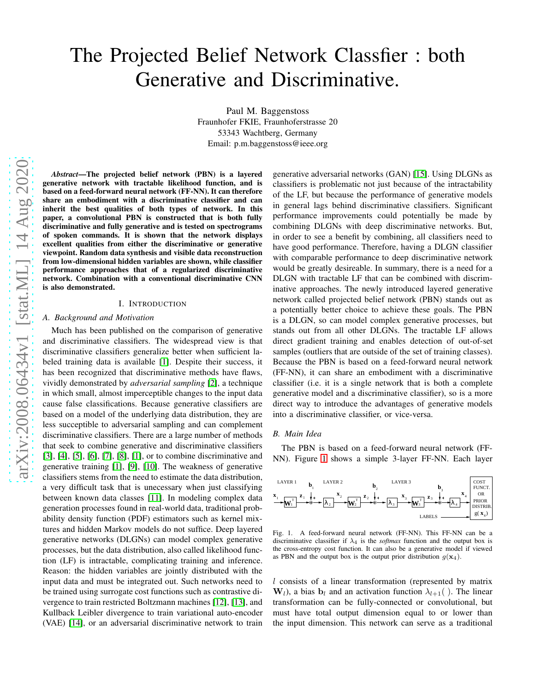# The Projected Belief Network Classfier : both Generative and Discriminative.

Paul M. Baggenstoss Fraunhofer FKIE, Fraunhoferstrasse 20 53343 Wachtberg, Germany Email: p.m.baggenstoss@ieee.org

*Abstract*—The projected belief network (PBN) is a layered generative network with tractable likelihood function, and is based on a feed-forward neural network (FF-NN). It can therefore share an embodiment with a discriminative classifier and can inherit the best qualities of both types of network. In this paper, a convolutional PBN is constructed that is both fully discriminative and fully generative and is tested on spectrograms of spoken commands. It is shown that the network displays excellent qualities from either the discriminative or generative viewpoint. Random data synthesis and visible data reconstruction from low-dimensional hidden variables are shown, while classifier performance approaches that of a regularized discriminative network. Combination with a conventional discriminative CNN is also demonstrated.

## I. INTRODUCTION

## *A. Background and Motivation*

Much has been published on the comparison of generative and discriminative classifiers. The widespread view is that discriminative classifiers generalize better when sufficient labeled training data is available [\[1\]](#page-4-0). Despite their success, it has been recognized that discriminative methods have flaws, vividly demonstrated by *adversarial sampling* [\[2\]](#page-4-1), a technique in which small, almost imperceptible changes to the input data cause false classifications. Because generative classifiers are based on a model of the underlying data distribution, they are less succeptible to adversarial sampling and can complement discriminative classifiers. There are a large number of methods that seek to combine generative and discriminative classifiers [\[3\]](#page-4-2), [\[4\]](#page-4-3), [\[5\]](#page-4-4), [\[6\]](#page-4-5), [\[7\]](#page-4-6), [\[8\]](#page-4-7), [\[1\]](#page-4-0), or to combine discriminative and generative training [\[1\]](#page-4-0), [\[9\]](#page-4-8), [\[10\]](#page-4-9). The weakness of generative classifiers stems from the need to estimate the data distribution, a very difficult task that is unecessary when just classifying between known data classes [\[11\]](#page-4-10). In modeling complex data generation processes found in real-world data, traditional probability density function (PDF) estimators such as kernel mixtures and hidden Markov models do not suffice. Deep layered generative networks (DLGNs) can model complex generative processes, but the data distribution, also called likelihood function (LF) is intractable, complicating training and inference. Reason: the hidden variables are jointly distributed with the input data and must be integrated out. Such networks need to be trained using surrogate cost functions such as contrastive divergence to train restricted Boltzmann machines [\[12\]](#page-4-11), [\[13\]](#page-4-12), and Kullback Leibler divergence to train variational auto-encoder (VAE) [\[14\]](#page-4-13), or an adversarial discriminative network to train

generative adversarial networks (GAN) [\[15\]](#page-4-14). Using DLGNs as classifiers is problematic not just because of the intractability of the LF, but because the performance of generative models in general lags behind discriminative classifiers. Significant performance improvements could potentially be made by combining DLGNs with deep discriminative networks. But, in order to see a benefit by combining, all classifiers need to have good performance. Therefore, having a DLGN classifier with comparable performance to deep discriminative network would be greatly desireable. In summary, there is a need for a DLGN with tractable LF that can be combined with discriminative approaches. The newly introduced layered generative network called projected belief network (PBN) stands out as a potentially better choice to achieve these goals. The PBN is a DLGN, so can model complex generative processes, but stands out from all other DLGNs. The tractable LF allows direct gradient training and enables detection of out-of-set samples (outliers that are outside of the set of training classes). Because the PBN is based on a feed-forward neural network (FF-NN), it can share an embodiment with a discriminative classifier (i.e. it is a single network that is both a complete generative model and a discriminative classifier), so is a more direct way to introduce the advantages of generative models into a discriminative classifier, or vice-versa.

## *B. Main Idea*

The PBN is based on a feed-forward neural network (FF-NN). Figure [1](#page-0-0) shows a simple 3-layer FF-NN. Each layer



<span id="page-0-0"></span>Fig. 1. A feed-forward neural network (FF-NN). This FF-NN can be a discriminative classifier if  $\lambda_4$  is the *softmax* function and the output box is the cross-entropy cost function. It can also be a generative model if viewed as PBN and the output box is the output prior distribution  $g(\mathbf{x}_4)$ .

l consists of a linear transformation (represented by matrix  $W_l$ ), a bias  $b_l$  and an activation function  $\lambda_{l+1}$  (). The linear transformation can be fully-connected or convolutional, but must have total output dimension equal to or lower than the input dimension. This network can serve as a traditional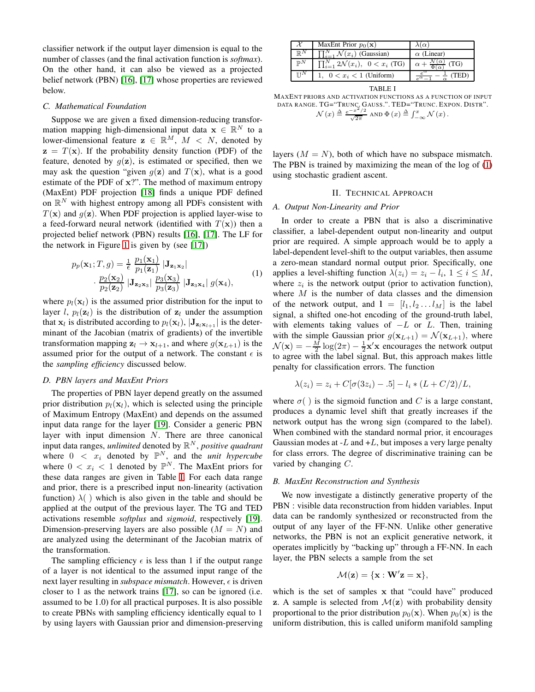classifier network if the output layer dimension is equal to the number of classes (and the final activation function is *softmax*). On the other hand, it can also be viewed as a projected belief network (PBN) [\[16\]](#page-4-15), [\[17\]](#page-4-16) whose properties are reviewed below.

## *C. Mathematical Foundation*

Suppose we are given a fixed dimension-reducing transformation mapping high-dimensional input data  $x \in \mathbb{R}^N$  to a lower-dimensional feature  $z \in \mathbb{R}^M$ ,  $M \le N$ , denoted by  $z = T(x)$ . If the probability density function (PDF) of the feature, denoted by  $g(z)$ , is estimated or specified, then we may ask the question "given  $g(z)$  and  $T(x)$ , what is a good estimate of the PDF of x?". The method of maximum entropy (MaxEnt) PDF projection [\[18\]](#page-4-17) finds a unique PDF defined on  $\mathbb{R}^N$  with highest entropy among all PDFs consistent with  $T(\mathbf{x})$  and  $g(\mathbf{z})$ . When PDF projection is applied layer-wise to a feed-forward neural network (identified with  $T(\mathbf{x})$ ) then a projected belief network (PBN) results [\[16\]](#page-4-15), [\[17\]](#page-4-16). The LF for the network in Figure [1](#page-0-0) is given by (see [\[17\]](#page-4-16))

<span id="page-1-1"></span>
$$
p_p(\mathbf{x}_1; T, g) = \frac{1}{\epsilon} \frac{p_1(\mathbf{x}_1)}{p_1(\mathbf{z}_1)} |\mathbf{J}_{\mathbf{z}_1 \mathbf{x}_2}|
$$
  
 
$$
\cdot \frac{p_2(\mathbf{x}_2)}{p_2(\mathbf{z}_2)} |\mathbf{J}_{\mathbf{z}_2 \mathbf{x}_3}| \frac{p_3(\mathbf{x}_3)}{p_3(\mathbf{z}_3)} |\mathbf{J}_{\mathbf{z}_3 \mathbf{x}_4}| g(\mathbf{x}_4),
$$
 (1)

where  $p_l(\mathbf{x}_l)$  is the assumed prior distribution for the input to layer l,  $p_l(z_l)$  is the distribution of  $z_l$  under the assumption that  $x_l$  is distributed according to  $p_l(\mathbf{x}_l)$ ,  $|\mathbf{J}_{\mathbf{z}_l \mathbf{x}_{l+1}}|$  is the determinant of the Jacobian (matrix of gradients) of the invertible transformation mapping  $z_l \to x_{l+1}$ , and where  $g(x_{L+1})$  is the assumed prior for the output of a network. The constant  $\epsilon$  is the *sampling efficiency* discussed below.

## *D. PBN layers and MaxEnt Priors*

The properties of PBN layer depend greatly on the assumed prior distribution  $p_l(\mathbf{x}_l)$ , which is selected using the principle of Maximum Entropy (MaxEnt) and depends on the assumed input data range for the layer [\[19\]](#page-4-18). Consider a generic PBN layer with input dimension N. There are three canonical input data ranges, *unlimited* denoted by  $\mathbb{R}^N$ , *positive quadrant* where  $0 < x_i$  denoted by  $\mathbb{P}^N$ , and the *unit hypercube* where  $0 < x_i < 1$  denoted by  $\mathbb{P}^N$ . The MaxEnt priors for these data ranges are given in Table [I.](#page-1-0) For each data range and prior, there is a prescribed input non-linearity (activation function)  $\lambda$ ( ) which is also given in the table and should be applied at the output of the previous layer. The TG and TED activations resemble *softplus* and *sigmoid*, respectively [\[19\]](#page-4-18). Dimension-preserving layers are also possible  $(M = N)$  and are analyzed using the determinant of the Jacobian matrix of the transformation.

The sampling efficiency  $\epsilon$  is less than 1 if the output range of a layer is not identical to the assumed input range of the next layer resulting in *subspace mismatch*. However,  $\epsilon$  is driven closer to 1 as the network trains [\[17\]](#page-4-16), so can be ignored (i.e. assumed to be 1.0) for all practical purposes. It is also possible to create PBNs with sampling efficiency identically equal to 1 by using layers with Gaussian prior and dimension-preserving

|                           | MaxEnt Prior $p_0(\mathbf{x})$                    |                   |
|---------------------------|---------------------------------------------------|-------------------|
| $\mathbb{D}^N$            | $\prod_{i=1}^{N} \mathcal{N}(x_i)$ (Gaussian)     | $\alpha$ (Linear) |
| $\n  pN$                  | $\prod_{i=1}^{N} 2\mathcal{N}(x_i), 0 < x_i$ (TG) | (TG)              |
| $\mathbb{T} \mathbb{T}^N$ | 1, $0 < x_i < 1$ (Uniform)                        | (TED              |

|--|

<span id="page-1-0"></span>MAXENT PRIORS AND ACTIVATION FUNCTIONS AS A FUNCTION OF INPUT DATA RANGE. TG="TRUNC. GAUSS.". TED="TRUNC. EXPON. DISTR".  $\mathcal{N}(x) \triangleq \frac{e^{-x^2/2}}{\sqrt{2\pi}}$  AND  $\Phi(x) \triangleq \int_{-\infty}^x \mathcal{N}(x)$ .

layers  $(M = N)$ , both of which have no subspace mismatch. The PBN is trained by maximizing the mean of the log of [\(1\)](#page-1-1) using stochastic gradient ascent.

## II. TECHNICAL APPROACH

## *A. Output Non-Linearity and Prior*

In order to create a PBN that is also a discriminative classifier, a label-dependent output non-linearity and output prior are required. A simple approach would be to apply a label-dependent level-shift to the output variables, then assume a zero-mean standard normal output prior. Specifically, one applies a level-shifting function  $\lambda(z_i) = z_i - l_i, \ 1 \leq i \leq M$ , where  $z_i$  is the network output (prior to activation function), where  $M$  is the number of data classes and the dimension of the network output, and  $I = [l_1, l_2 \dots l_M]$  is the label signal, a shifted one-hot encoding of the ground-truth label, with elements taking values of  $-L$  or L. Then, training with the simple Gaussian prior  $g(\mathbf{x}_{L+1}) = \mathcal{N}(\mathbf{x}_{L+1})$ , where  $\mathcal{N}(\mathbf{x}) = -\frac{M}{2} \log(2\pi) - \frac{1}{2}\mathbf{x}'\mathbf{x}$  encourages the network output to agree with the label signal. But, this approach makes little penalty for classification errors. The function

$$
\lambda(z_i) = z_i + C[\sigma(3z_i) - .5] - l_i * (L + C/2)/L,
$$

where  $\sigma()$  is the sigmoid function and C is a large constant, produces a dynamic level shift that greatly increases if the network output has the wrong sign (compared to the label). When combined with the standard normal prior, it encourages Gaussian modes at  $-L$  and  $+L$ , but imposes a very large penalty for class errors. The degree of discriminative training can be varied by changing C.

#### <span id="page-1-2"></span>*B. MaxEnt Reconstruction and Synthesis*

We now investigate a distinctly generative property of the PBN : visible data reconstruction from hidden variables. Input data can be randomly synthesized or reconstructed from the output of any layer of the FF-NN. Unlike other generative networks, the PBN is not an explicit generative network, it operates implicitly by "backing up" through a FF-NN. In each layer, the PBN selects a sample from the set

$$
\mathcal{M}(\mathbf{z}) = \{\mathbf{x} : \mathbf{W}'\mathbf{z} = \mathbf{x}\},
$$

which is the set of samples x that "could have" produced z. A sample is selected from  $\mathcal{M}(z)$  with probability density proportional to the prior distribution  $p_0(\mathbf{x})$ . When  $p_0(\mathbf{x})$  is the uniform distribution, this is called uniform manifold sampling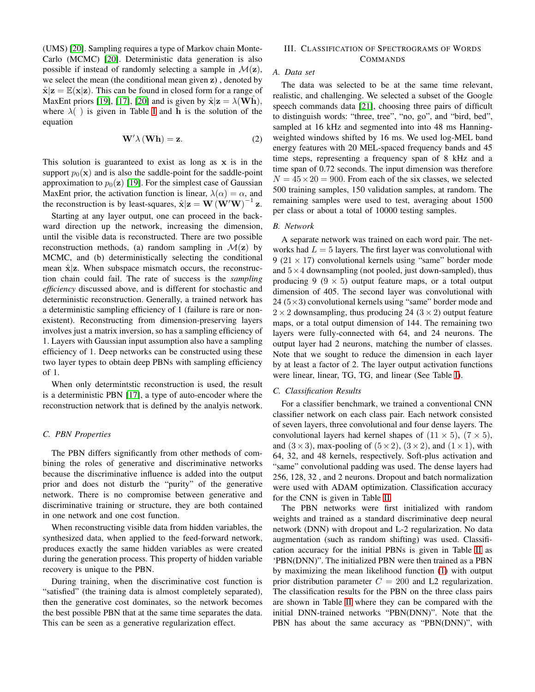(UMS) [\[20\]](#page-4-19). Sampling requires a type of Markov chain Monte-Carlo (MCMC) [\[20\]](#page-4-19). Deterministic data generation is also possible if instead of randomly selecting a sample in  $\mathcal{M}(z)$ , we select the mean (the conditional mean given z) , denoted by  $\hat{\mathbf{x}}|\mathbf{z} = \mathbb{E}(\mathbf{x}|\mathbf{z})$ . This can be found in closed form for a range of MaxEnt priors [\[19\]](#page-4-18), [\[17\]](#page-4-16), [\[20\]](#page-4-19) and is given by  $\hat{\mathbf{x}}|\mathbf{z} = \lambda(\mathbf{W}\mathbf{h})$ , where  $\lambda$ ( ) is given in Table [I](#page-1-0) and  $\hat{h}$  is the solution of the equation

<span id="page-2-0"></span>
$$
\mathbf{W}'\lambda\left(\mathbf{Wh}\right) = \mathbf{z}.\tag{2}
$$

This solution is guaranteed to exist as long as  $x$  is in the support  $p_0(\mathbf{x})$  and is also the saddle-point for the saddle-point approximation to  $p_0(z)$  [\[19\]](#page-4-18). For the simplest case of Gaussian MaxEnt prior, the activation function is linear,  $\lambda(\alpha) = \alpha$ , and the reconstruction is by least-squares,  $\hat{\mathbf{x}}|\mathbf{z} = \mathbf{W}(\mathbf{W}'\mathbf{W})^{-1}\mathbf{z}$ .

Starting at any layer output, one can proceed in the backward direction up the network, increasing the dimension, until the visible data is reconstructed. There are two possible reconstruction methods, (a) random sampling in  $\mathcal{M}(z)$  by MCMC, and (b) deterministically selecting the conditional mean  $\hat{x}$ |z. When subspace mismatch occurs, the reconstruction chain could fail. The rate of success is the *sampling efficiency* discussed above, and is different for stochastic and deterministic reconstruction. Generally, a trained network has a deterministic sampling efficiency of 1 (failure is rare or nonexistent). Reconstructing from dimension-preserving layers involves just a matrix inversion, so has a sampling efficiency of 1. Layers with Gaussian input assumption also have a sampling efficiency of 1. Deep networks can be constructed using these two layer types to obtain deep PBNs with sampling efficiency of 1.

When only determintstic reconstruction is used, the result is a deterministic PBN [\[17\]](#page-4-16), a type of auto-encoder where the reconstruction network that is defined by the analyis network.

## *C. PBN Properties*

The PBN differs significantly from other methods of combining the roles of generative and discriminative networks because the discriminative influence is added into the output prior and does not disturb the "purity" of the generative network. There is no compromise between generative and discriminative training or structure, they are both contained in one network and one cost function.

When reconstructing visible data from hidden variables, the synthesized data, when applied to the feed-forward network, produces exactly the same hidden variables as were created during the generation process. This property of hidden variable recovery is unique to the PBN.

During training, when the discriminative cost function is "satisfied" (the training data is almost completely separated), then the generative cost dominates, so the network becomes the best possible PBN that at the same time separates the data. This can be seen as a generative regularization effect.

# III. CLASSIFICATION OF SPECTROGRAMS OF WORDS COMMANDS

# *A. Data set*

The data was selected to be at the same time relevant, realistic, and challenging. We selected a subset of the Google speech commands data [\[21\]](#page-4-20), choosing three pairs of difficult to distinguish words: "three, tree", "no, go", and "bird, bed", sampled at 16 kHz and segmented into into 48 ms Hanningweighted windows shifted by 16 ms. We used log-MEL band energy features with 20 MEL-spaced frequency bands and 45 time steps, representing a frequency span of 8 kHz and a time span of 0.72 seconds. The input dimension was therefore  $N = 45 \times 20 = 900$ . From each of the six classes, we selected 500 training samples, 150 validation samples, at random. The remaining samples were used to test, averaging about 1500 per class or about a total of 10000 testing samples.

# *B. Network*

A separate network was trained on each word pair. The networks had  $L = 5$  layers. The first layer was convolutional with 9 (21  $\times$  17) convolutional kernels using "same" border mode and  $5 \times 4$  downsampling (not pooled, just down-sampled), thus producing 9 ( $9 \times 5$ ) output feature maps, or a total output dimension of 405. The second layer was convolutional with  $24 (5 \times 3)$  convolutional kernels using "same" border mode and  $2 \times 2$  downsampling, thus producing 24 ( $3 \times 2$ ) output feature maps, or a total output dimension of 144. The remaining two layers were fully-connected with 64, and 24 neurons. The output layer had 2 neurons, matching the number of classes. Note that we sought to reduce the dimension in each layer by at least a factor of 2. The layer output activation functions were linear, linear, TG, TG, and linear (See Table [I\)](#page-1-0).

#### *C. Classification Results*

For a classifier benchmark, we trained a conventional CNN classifier network on each class pair. Each network consisted of seven layers, three convolutional and four dense layers. The convolutional layers had kernel shapes of  $(11 \times 5)$ ,  $(7 \times 5)$ , and  $(3 \times 3)$ , max-pooling of  $(5 \times 2)$ ,  $(3 \times 2)$ , and  $(1 \times 1)$ , with 64, 32, and 48 kernels, respectively. Soft-plus activation and "same" convolutional padding was used. The dense layers had 256, 128, 32 , and 2 neurons. Dropout and batch normalization were used with ADAM optimization. Classification accuracy for the CNN is given in Table [II.](#page-3-0)

The PBN networks were first initialized with random weights and trained as a standard discriminative deep neural network (DNN) with dropout and L-2 regularization. No data augmentation (such as random shifting) was used. Classification accuracy for the initial PBNs is given in Table [II](#page-3-0) as 'PBN(DNN)". The initialized PBN were then trained as a PBN by maximizing the mean likelihood function [\(1\)](#page-1-1) with output prior distribution parameter  $C = 200$  and L2 regularization. The classification results for the PBN on the three class pairs are shown in Table [II](#page-3-0) where they can be compared with the initial DNN-trained networks "PBN(DNN)". Note that the PBN has about the same accuracy as "PBN(DNN)", with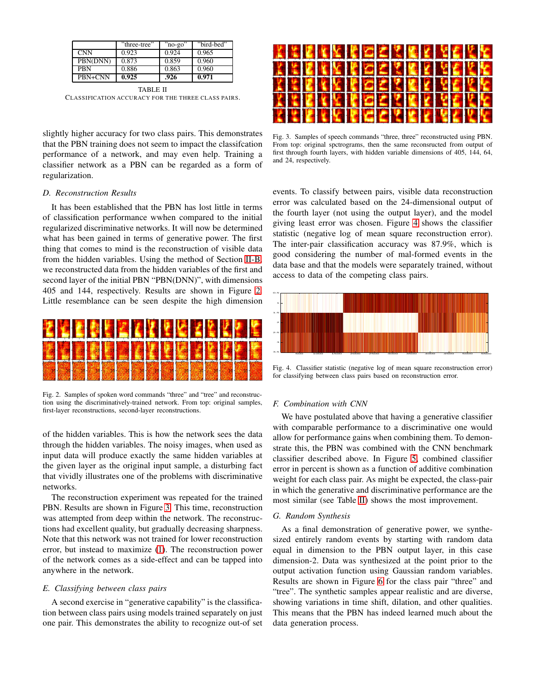|            | "three-tree" | "no-go" | "bird-bed" |
|------------|--------------|---------|------------|
| <b>CNN</b> | 0.923        | 0.924   | 0.965      |
| PBN(DNN)   | 0.873        | 0.859   | 0.960      |
| PRN        | 0.886        | 0.863   | 0.960      |
| PRN+CNN    | 0.925        | .926    | 0.971      |

<span id="page-3-0"></span>TABLE II CLASS IFICATION ACCURACY FOR THE THREE CLASS PAIRS.

slightly higher accuracy for two class pairs. This demonstrates that the PBN training does not seem to impact the classifcation performance of a network, and may even help. Training a classifier network as a PBN can be regarded as a form of regularization.

# *D. Reconstruction Results*

It has been established that the PBN has lost little in terms of classification performance wwhen compared to the initial regularized discriminative networks. It will now be determined what has been gained in terms of generative power. The first thing that comes to mind is the reconstruction of visible data from the hidden variables. Using the method of Section [II-B,](#page-1-2) we reconstructed data from the hidden variables of the first and second layer of the initial PBN "PBN(DNN)", with dimensions 405 and 144, respectively. Results are shown in Figure [2.](#page-3-1) Little resemblance can be seen despite the high dimension



<span id="page-3-1"></span>Fig. 2. Samples of spoken word commands "three" and "tree" and reconstruction using the discriminatively-trained network. From top: original samples, first-layer reconstructions, second-layer reconstructions.

of the hidden variables. This is how the network sees the data through the hidden variables. The noisy images, when used as input data will produce exactly the same hidden variables at the given layer as the original input sample, a disturbing fact that vividly illustrates one of the problems with discriminative networks.

The reconstruction experiment was repeated for the trained PBN. Results are shown in Figure [3.](#page-3-2) This time, reconstruction was attempted from deep within the network. The reconstructions had excellent quality, but gradually decreasing sharpness. Note that this network was not trained for lower reconstruction error, but instead to maximize [\(1\)](#page-1-1). The reconstruction power of the network comes as a side-effect and can be tapped into anywhere in the network.

### *E. Classifying between class pairs*

A second exercise in "generative capability" is the classification between class pairs using models trained separately on just one pair. This demonstrates the ability to recognize out-of set



Fig. 3. Samples of speech commands "three, three" reconstructed using PBN. From top: original spctrograms, then the same reconsructed from output of first through fourth layers, with hidden variable dimensions of 405, 144, 64, and 24, respectively.

<span id="page-3-2"></span>events. To classify between pairs, visible data reconstruction error was calculated based on the 24-dimensional output of the fourth layer (not using the output layer), and the model giving least error was chosen. Figure [4](#page-3-3) shows the classifier statistic (negative log of mean square reconstruction error). The inter-pair classification accuracy was 87.9%, which is good considering the number of mal-formed events in the data base and that the models were separately trained, without access to data of the competing class pairs.



<span id="page-3-3"></span>Fig. 4. Classifier statistic (negative log of mean square reconstruction error) for classifying between class pairs based on reconstruction error.

# *F. Combination with CNN*

We have postulated above that having a generative classifier with comparable performance to a discriminative one would allow for performance gains when combining them. To demonstrate this, the PBN was combined with the CNN benchmark classifier described above. In Figure [5,](#page-4-21) combined classifier error in percent is shown as a function of additive combination weight for each class pair. As might be expected, the class-pair in which the generative and discriminative performance are the most similar (see Table [II\)](#page-3-0) shows the most improvement.

## *G. Random Synthesis*

As a final demonstration of generative power, we synthesized entirely random events by starting with random data equal in dimension to the PBN output layer, in this case dimension-2. Data was synthesized at the point prior to the output activation function using Gaussian random variables. Results are shown in Figure [6](#page-4-22) for the class pair "three" and "tree". The synthetic samples appear realistic and are diverse, showing variations in time shift, dilation, and other qualities. This means that the PBN has indeed learned much about the data generation process.